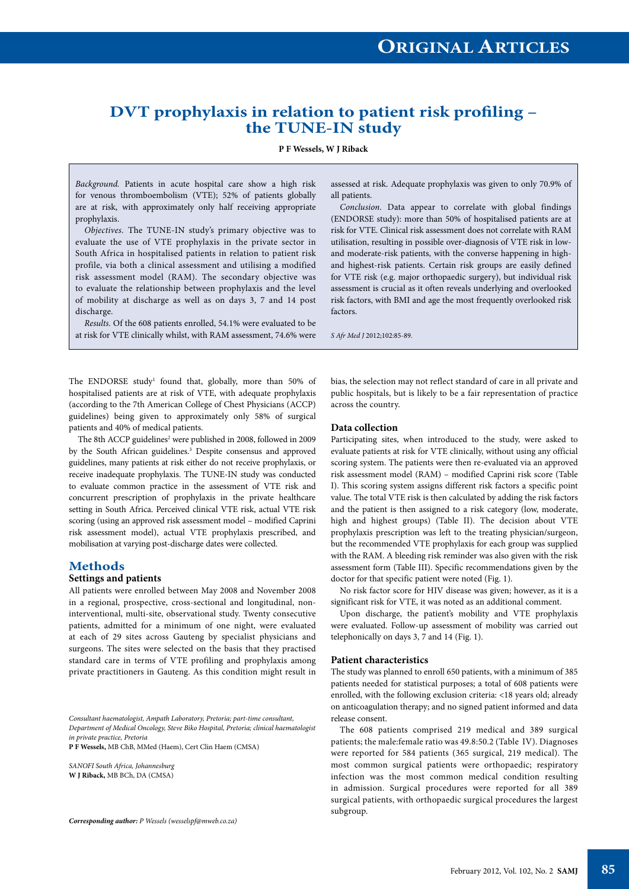# **DVT prophylaxis in relation to patient risk profiling – the TUNE-IN study**

**P F Wessels, W J Riback**

*Background.* Patients in acute hospital care show a high risk for venous thromboembolism (VTE); 52% of patients globally are at risk, with approximately only half receiving appropriate prophylaxis.

*Objectives.* The TUNE-IN study's primary objective was to evaluate the use of VTE prophylaxis in the private sector in South Africa in hospitalised patients in relation to patient risk profile, via both a clinical assessment and utilising a modified risk assessment model (RAM). The secondary objective was to evaluate the relationship between prophylaxis and the level of mobility at discharge as well as on days 3, 7 and 14 post discharge.

*Results.* Of the 608 patients enrolled, 54.1% were evaluated to be at risk for VTE clinically whilst, with RAM assessment, 74.6% were

The ENDORSE study<sup>1</sup> found that, globally, more than 50% of hospitalised patients are at risk of VTE, with adequate prophylaxis (according to the 7th American College of Chest Physicians (ACCP) guidelines) being given to approximately only 58% of surgical patients and 40% of medical patients.

The 8th ACCP guidelines<sup>2</sup> were published in 2008, followed in 2009 by the South African guidelines.<sup>3</sup> Despite consensus and approved guidelines, many patients at risk either do not receive prophylaxis, or receive inadequate prophylaxis. The TUNE-IN study was conducted to evaluate common practice in the assessment of VTE risk and concurrent prescription of prophylaxis in the private healthcare setting in South Africa. Perceived clinical VTE risk, actual VTE risk scoring (using an approved risk assessment model – modified Caprini risk assessment model), actual VTE prophylaxis prescribed, and mobilisation at varying post-discharge dates were collected.

# **Methods**

## **Settings and patients**

All patients were enrolled between May 2008 and November 2008 in a regional, prospective, cross-sectional and longitudinal, noninterventional, multi-site, observational study. Twenty consecutive patients, admitted for a minimum of one night, were evaluated at each of 29 sites across Gauteng by specialist physicians and surgeons. The sites were selected on the basis that they practised standard care in terms of VTE profiling and prophylaxis among private practitioners in Gauteng. As this condition might result in

*Consultant haematologist, Ampath Laboratory, Pretoria; part-time consultant, Department of Medical Oncology, Steve Biko Hospital, Pretoria; clinical haematologist in private practice, Pretoria*

**P F Wessels,** MB ChB, MMed (Haem), Cert Clin Haem (CMSA)

*SANOFI South Africa, Johannesburg* **W J Riback,** MB BCh, DA (CMSA)

*Corresponding author: P Wessels (wesselspf@mweb.co.za)*

assessed at risk. Adequate prophylaxis was given to only 70.9% of all patients.

*Conclusion.* Data appear to correlate with global findings (ENDORSE study): more than 50% of hospitalised patients are at risk for VTE. Clinical risk assessment does not correlate with RAM utilisation, resulting in possible over-diagnosis of VTE risk in lowand moderate-risk patients, with the converse happening in highand highest-risk patients. Certain risk groups are easily defined for VTE risk (e.g. major orthopaedic surgery), but individual risk assessment is crucial as it often reveals underlying and overlooked risk factors, with BMI and age the most frequently overlooked risk factors

*S Afr Med J* 2012;102:85-89.

bias, the selection may not reflect standard of care in all private and public hospitals, but is likely to be a fair representation of practice across the country.

#### **Data collection**

Participating sites, when introduced to the study, were asked to evaluate patients at risk for VTE clinically, without using any official scoring system. The patients were then re-evaluated via an approved risk assessment model (RAM) – modified Caprini risk score (Table I). This scoring system assigns different risk factors a specific point value. The total VTE risk is then calculated by adding the risk factors and the patient is then assigned to a risk category (low, moderate, high and highest groups) (Table II). The decision about VTE prophylaxis prescription was left to the treating physician/surgeon, but the recommended VTE prophylaxis for each group was supplied with the RAM. A bleeding risk reminder was also given with the risk assessment form (Table III). Specific recommendations given by the doctor for that specific patient were noted (Fig. 1).

No risk factor score for HIV disease was given; however, as it is a significant risk for VTE, it was noted as an additional comment.

Upon discharge, the patient's mobility and VTE prophylaxis were evaluated. Follow-up assessment of mobility was carried out telephonically on days 3, 7 and 14 (Fig. 1).

#### **Patient characteristics**

The study was planned to enroll 650 patients, with a minimum of 385 patients needed for statistical purposes; a total of 608 patients were enrolled, with the following exclusion criteria: <18 years old; already on anticoagulation therapy; and no signed patient informed and data release consent.

The 608 patients comprised 219 medical and 389 surgical patients; the male:female ratio was 49.8:50.2 (Table IV). Diagnoses were reported for 584 patients (365 surgical, 219 medical). The most common surgical patients were orthopaedic; respiratory infection was the most common medical condition resulting in admission. Surgical procedures were reported for all 389 surgical patients, with orthopaedic surgical procedures the largest subgroup.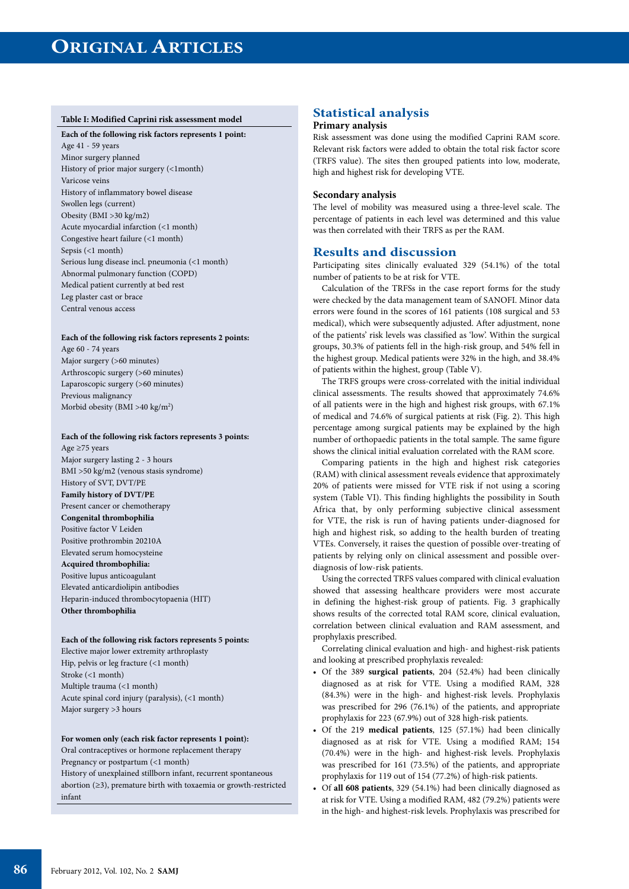#### **Table I: Modified Caprini risk assessment model**

#### **Each of the following risk factors represents 1 point:**

Age 41 - 59 years Minor surgery planned History of prior major surgery (<1month) Varicose veins History of inflammatory bowel disease Swollen legs (current) Obesity (BMI >30 kg/m2) Acute myocardial infarction (<1 month) Congestive heart failure (<1 month) Sepsis (<1 month) Serious lung disease incl. pneumonia (<1 month) Abnormal pulmonary function (COPD) Medical patient currently at bed rest Leg plaster cast or brace Central venous access

#### **Each of the following risk factors represents 2 points:**

Age 60 - 74 years Major surgery (>60 minutes) Arthroscopic surgery (>60 minutes) Laparoscopic surgery (>60 minutes) Previous malignancy Morbid obesity (BMI >40 kg/m<sup>2</sup>)

## **Each of the following risk factors represents 3 points:**

Age ≥75 years Major surgery lasting 2 - 3 hours BMI >50 kg/m2 (venous stasis syndrome) History of SVT, DVT/PE **Family history of DVT/PE** Present cancer or chemotherapy **Congenital thrombophilia** Positive factor V Leiden Positive prothrombin 20210A Elevated serum homocysteine **Acquired thrombophilia:** Positive lupus anticoagulant Elevated anticardiolipin antibodies Heparin-induced thrombocytopaenia (HIT) **Other thrombophilia**

#### **Each of the following risk factors represents 5 points:**

Elective major lower extremity arthroplasty Hip, pelvis or leg fracture (<1 month) Stroke (<1 month) Multiple trauma (<1 month) Acute spinal cord injury (paralysis), (<1 month) Major surgery >3 hours

#### **For women only (each risk factor represents 1 point):**

Oral contraceptives or hormone replacement therapy

Pregnancy or postpartum (<1 month)

History of unexplained stillborn infant, recurrent spontaneous abortion (≥3), premature birth with toxaemia or growth-restricted

#### infant

# **Statistical analysis**

#### **Primary analysis**

Risk assessment was done using the modified Caprini RAM score. Relevant risk factors were added to obtain the total risk factor score (TRFS value). The sites then grouped patients into low, moderate, high and highest risk for developing VTE.

#### **Secondary analysis**

The level of mobility was measured using a three-level scale. The percentage of patients in each level was determined and this value was then correlated with their TRFS as per the RAM.

## **Results and discussion**

Participating sites clinically evaluated 329 (54.1%) of the total number of patients to be at risk for VTE.

Calculation of the TRFSs in the case report forms for the study were checked by the data management team of SANOFI. Minor data errors were found in the scores of 161 patients (108 surgical and 53 medical), which were subsequently adjusted. After adjustment, none of the patients' risk levels was classified as 'low'. Within the surgical groups, 30.3% of patients fell in the high-risk group, and 54% fell in the highest group. Medical patients were 32% in the high, and 38.4% of patients within the highest, group (Table V).

The TRFS groups were cross-correlated with the initial individual clinical assessments. The results showed that approximately 74.6% of all patients were in the high and highest risk groups, with 67.1% of medical and 74.6% of surgical patients at risk (Fig. 2). This high percentage among surgical patients may be explained by the high number of orthopaedic patients in the total sample. The same figure shows the clinical initial evaluation correlated with the RAM score.

Comparing patients in the high and highest risk categories (RAM) with clinical assessment reveals evidence that approximately 20% of patients were missed for VTE risk if not using a scoring system (Table VI). This finding highlights the possibility in South Africa that, by only performing subjective clinical assessment for VTE, the risk is run of having patients under-diagnosed for high and highest risk, so adding to the health burden of treating VTEs. Conversely, it raises the question of possible over-treating of patients by relying only on clinical assessment and possible overdiagnosis of low-risk patients.

Using the corrected TRFS values compared with clinical evaluation showed that assessing healthcare providers were most accurate in defining the highest-risk group of patients. Fig. 3 graphically shows results of the corrected total RAM score, clinical evaluation, correlation between clinical evaluation and RAM assessment, and prophylaxis prescribed.

Correlating clinical evaluation and high- and highest-risk patients and looking at prescribed prophylaxis revealed:

- • Of the 389 **surgical patients**, 204 (52.4%) had been clinically diagnosed as at risk for VTE. Using a modified RAM, 328 (84.3%) were in the high- and highest-risk levels. Prophylaxis was prescribed for 296 (76.1%) of the patients, and appropriate prophylaxis for 223 (67.9%) out of 328 high-risk patients.
- Of the 219 medical patients, 125 (57.1%) had been clinically diagnosed as at risk for VTE. Using a modified RAM; 154 (70.4%) were in the high- and highest-risk levels. Prophylaxis was prescribed for 161 (73.5%) of the patients, and appropriate prophylaxis for 119 out of 154 (77.2%) of high-risk patients.
- • Of **all 608 patients**, 329 (54.1%) had been clinically diagnosed as at risk for VTE. Using a modified RAM, 482 (79.2%) patients were in the high- and highest-risk levels. Prophylaxis was prescribed for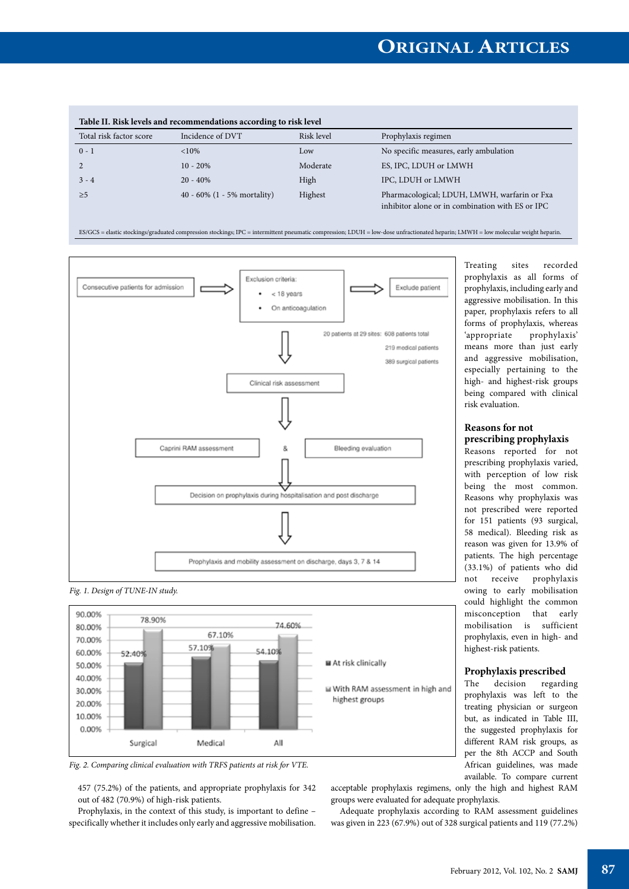| Table II. Risk levels and recommendations according to risk level |                             |            |                                                                                                  |  |  |
|-------------------------------------------------------------------|-----------------------------|------------|--------------------------------------------------------------------------------------------------|--|--|
| Total risk factor score                                           | Incidence of DVT            | Risk level | Prophylaxis regimen                                                                              |  |  |
| $0 - 1$                                                           | $< 10\%$                    | Low        | No specific measures, early ambulation                                                           |  |  |
|                                                                   | $10 - 20%$                  | Moderate   | ES, IPC, LDUH or LMWH                                                                            |  |  |
| $3 - 4$                                                           | $20 - 40\%$                 | High       | IPC, LDUH or LMWH                                                                                |  |  |
| >5                                                                | 40 - 60% (1 - 5% mortality) | Highest    | Pharmacological; LDUH, LMWH, warfarin or Fxa<br>inhibitor alone or in combination with ES or IPC |  |  |

ES/GCS = elastic stockings/graduated compression stockings; IPC = intermittent pneumatic compression; LDUH = low-dose unfractionated heparin; LMWH = low molecular weight heparin.







*Fig. 2. Comparing clinical evaluation with TRFS patients at risk for VTE.*

457 (75.2%) of the patients, and appropriate prophylaxis for 342 out of 482 (70.9%) of high-risk patients.

Prophylaxis, in the context of this study, is important to define – specifically whether it includes only early and aggressive mobilisation. Treating sites recorded prophylaxis as all forms of prophylaxis, including early and aggressive mobilisation. In this paper, prophylaxis refers to all forms of prophylaxis, whereas 'appropriate prophylaxis' means more than just early and aggressive mobilisation, especially pertaining to the high- and highest-risk groups being compared with clinical risk evaluation.

#### **Reasons for not prescribing prophylaxis**

Reasons reported for not prescribing prophylaxis varied, with perception of low risk being the most common. Reasons why prophylaxis was not prescribed were reported for 151 patients (93 surgical, 58 medical). Bleeding risk as reason was given for 13.9% of patients. The high percentage (33.1%) of patients who did not receive prophylaxis owing to early mobilisation could highlight the common misconception that early mobilisation is sufficient prophylaxis, even in high- and highest-risk patients.

#### **Prophylaxis prescribed**

The decision regarding prophylaxis was left to the treating physician or surgeon but, as indicated in Table III, the suggested prophylaxis for different RAM risk groups, as per the 8th ACCP and South African guidelines, was made available. To compare current

acceptable prophylaxis regimens, only the high and highest RAM groups were evaluated for adequate prophylaxis.

Adequate prophylaxis according to RAM assessment guidelines was given in 223 (67.9%) out of 328 surgical patients and 119 (77.2%)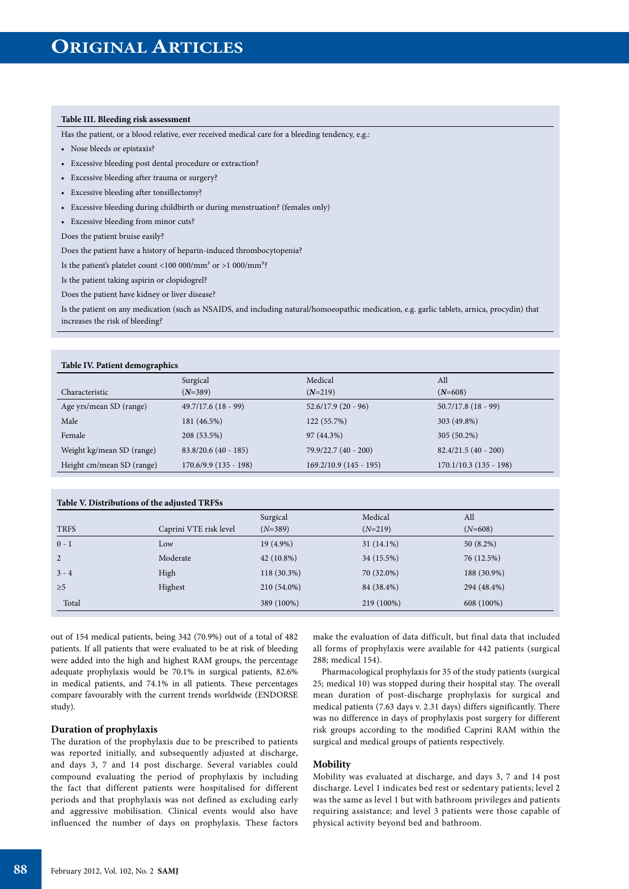### **Table III. Bleeding risk assessment**

Has the patient, or a blood relative, ever received medical care for a bleeding tendency, e.g.:

- Nose bleeds or epistaxis?
- Excessive bleeding post dental procedure or extraction?
- Excessive bleeding after trauma or surgery?
- Excessive bleeding after tonsillectomy?
- Excessive bleeding during childbirth or during menstruation? (females only)
- Excessive bleeding from minor cuts?

#### Does the patient bruise easily?

Does the patient have a history of heparin-induced thrombocytopenia?

Is the patient's platelet count <100 000/mm<sup>3</sup> or >1 000/mm<sup>3</sup>?

Is the patient taking aspirin or clopidogrel?

Does the patient have kidney or liver disease?

Is the patient on any medication (such as NSAIDS, and including natural/homoeopathic medication, e.g. garlic tablets, arnica, procydin) that increases the risk of bleeding?

| Table IV. Patient demographics |                         |                          |                         |  |  |
|--------------------------------|-------------------------|--------------------------|-------------------------|--|--|
|                                | Surgical                | Medical                  | All                     |  |  |
| Characteristic                 | $(N=389)$               | $(N=219)$                | $(N=608)$               |  |  |
| Age yrs/mean SD (range)        | $49.7/17.6(18-99)$      | $52.6/17.9(20-96)$       | $50.7/17.8$ (18 - 99)   |  |  |
| Male                           | 181 (46.5%)             | 122 (55.7%)              | 303 (49.8%)             |  |  |
| Female                         | 208 (53.5%)             | 97 (44.3%)               | 305 (50.2%)             |  |  |
| Weight kg/mean SD (range)      | $83.8/20.6(40 - 185)$   | 79.9/22.7 (40 - 200)     | $82.4/21.5(40 - 200)$   |  |  |
| Height cm/mean SD (range)      | $170.6/9.9$ (135 - 198) | $169.2/10.9$ (145 - 195) | $170.1/10.3(135 - 198)$ |  |  |

| Table V. Distributions of the adjusted TRFSs |                        |              |              |             |  |  |
|----------------------------------------------|------------------------|--------------|--------------|-------------|--|--|
|                                              |                        | Surgical     | Medical      | All         |  |  |
| <b>TRFS</b>                                  | Caprini VTE risk level | $(N=389)$    | $(N=219)$    | $(N=608)$   |  |  |
| $0 - 1$                                      | Low                    | $19(4.9\%)$  | $31(14.1\%)$ | $50(8.2\%)$ |  |  |
| 2                                            | Moderate               | $42(10.8\%)$ | 34 (15.5%)   | 76 (12.5%)  |  |  |
| $3 - 4$                                      | High                   | 118 (30.3%)  | 70 (32.0%)   | 188 (30.9%) |  |  |
| $\geq 5$                                     | Highest                | 210 (54.0%)  | 84 (38.4%)   | 294 (48.4%) |  |  |
| Total                                        |                        | 389 (100%)   | 219 (100%)   | 608 (100%)  |  |  |
|                                              |                        |              |              |             |  |  |

out of 154 medical patients, being 342 (70.9%) out of a total of 482 patients. If all patients that were evaluated to be at risk of bleeding were added into the high and highest RAM groups, the percentage adequate prophylaxis would be 70.1% in surgical patients, 82.6% in medical patients, and 74.1% in all patients. These percentages compare favourably with the current trends worldwide (ENDORSE study).

#### **Duration of prophylaxis**

The duration of the prophylaxis due to be prescribed to patients was reported initially, and subsequently adjusted at discharge, and days 3, 7 and 14 post discharge. Several variables could compound evaluating the period of prophylaxis by including the fact that different patients were hospitalised for different periods and that prophylaxis was not defined as excluding early and aggressive mobilisation. Clinical events would also have influenced the number of days on prophylaxis. These factors

make the evaluation of data difficult, but final data that included all forms of prophylaxis were available for 442 patients (surgical 288; medical 154).

Pharmacological prophylaxis for 35 of the study patients (surgical 25; medical 10) was stopped during their hospital stay. The overall mean duration of post-discharge prophylaxis for surgical and medical patients (7.63 days v. 2.31 days) differs significantly. There was no difference in days of prophylaxis post surgery for different risk groups according to the modified Caprini RAM within the surgical and medical groups of patients respectively.

#### **Mobility**

Mobility was evaluated at discharge, and days 3, 7 and 14 post discharge. Level 1 indicates bed rest or sedentary patients; level 2 was the same as level 1 but with bathroom privileges and patients requiring assistance; and level 3 patients were those capable of physical activity beyond bed and bathroom.